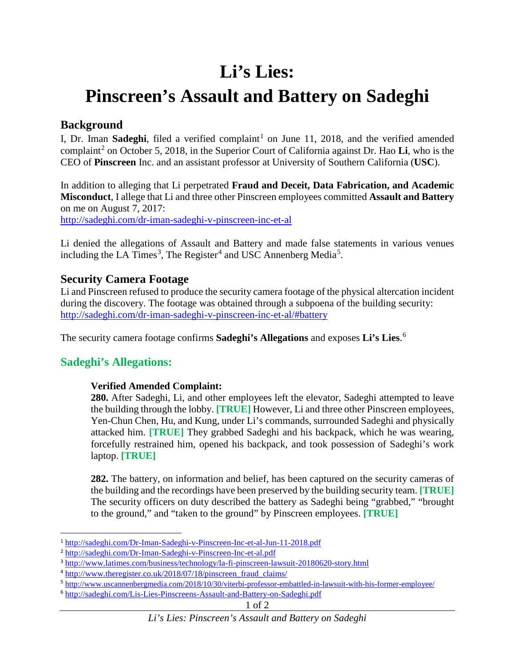# **Li's Lies:**

# **Pinscreen's Assault and Battery on Sadeghi**

## **Background**

I, Dr. Iman **Sadeghi**, filed a verified complaint<sup>[1](#page-0-0)</sup> on June 11, 2018, and the verified amended complaint[2](#page-0-1) on October 5, 2018, in the Superior Court of California against Dr. Hao **Li**, who is the CEO of **Pinscreen** Inc. and an assistant professor at University of Southern California (**USC**).

In addition to alleging that Li perpetrated **Fraud and Deceit, Data Fabrication, and Academic Misconduct**, I allege that Li and three other Pinscreen employees committed **Assault and Battery** on me on August 7, 2017: <http://sadeghi.com/dr-iman-sadeghi-v-pinscreen-inc-et-al>

Li denied the allegations of Assault and Battery and made false statements in various venues including the LA Times<sup>[3](#page-0-2)</sup>, The Register<sup>[4](#page-0-3)</sup> and USC Annenberg Media<sup>[5](#page-0-4)</sup>.

## **Security Camera Footage**

Li and Pinscreen refused to produce the security camera footage of the physical altercation incident during the discovery. The footage was obtained through a subpoena of the building security: http://sadeghi.com/dr-iman-sadeghi-v-pinscreen-inc-et-al/#battery

The security camera footage confirms **Sadeghi's Allegations** and exposes **Li's Lies**. [6](#page-0-5)

# **Sadeghi's Allegations:**

### **Verified Amended Complaint:**

**280.** After Sadeghi, Li, and other employees left the elevator, Sadeghi attempted to leave the building through the lobby. **[TRUE]** However, Li and three other Pinscreen employees, Yen-Chun Chen, Hu, and Kung, under Li's commands, surrounded Sadeghi and physically attacked him. **[TRUE]** They grabbed Sadeghi and his backpack, which he was wearing, forcefully restrained him, opened his backpack, and took possession of Sadeghi's work laptop. **[TRUE]**

**282.** The battery, on information and belief, has been captured on the security cameras of the building and the recordings have been preserved by the building security team. **[TRUE]** The security officers on duty described the battery as Sadeghi being "grabbed," "brought to the ground," and "taken to the ground" by Pinscreen employees. **[TRUE]**

<span id="page-0-0"></span> <sup>1</sup> <http://sadeghi.com/Dr-Iman-Sadeghi-v-Pinscreen-Inc-et-al-Jun-11-2018.pdf>

<span id="page-0-1"></span><sup>2</sup> <http://sadeghi.com/Dr-Iman-Sadeghi-v-Pinscreen-Inc-et-al.pdf>

<span id="page-0-2"></span><sup>3</sup> <http://www.latimes.com/business/technology/la-fi-pinscreen-lawsuit-20180620-story.html>

<span id="page-0-3"></span><sup>4</sup> [http://www.theregister.co.uk/2018/07/18/pinscreen\\_fraud\\_claims/](http://www.theregister.co.uk/2018/07/18/pinscreen_fraud_claims/)

<span id="page-0-4"></span><sup>5</sup> <http://www.uscannenbergmedia.com/2018/10/30/viterbi-professor-embattled-in-lawsuit-with-his-former-employee/>

<span id="page-0-5"></span><sup>6</sup> <http://sadeghi.com/Lis-Lies-Pinscreens-Assault-and-Battery-on-Sadeghi.pdf>